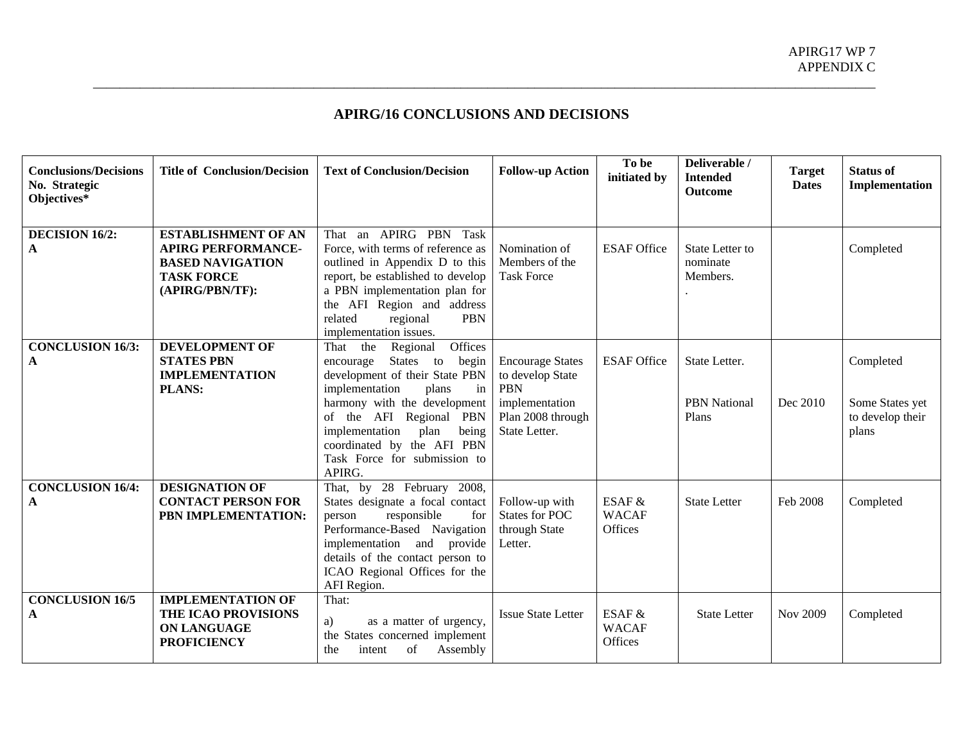## **APIRG/16 CONCLUSIONS AND DECISIONS**

| <b>Conclusions/Decisions</b><br>No. Strategic<br>Objectives* | <b>Title of Conclusion/Decision</b>                                                                                        | <b>Text of Conclusion/Decision</b>                                                                                                                                                                                                                                                                          | <b>Follow-up Action</b>                                                                                           | To be<br>initiated by               | Deliverable /<br><b>Intended</b><br><b>Outcome</b> | <b>Target</b><br><b>Dates</b> | <b>Status of</b><br>Implementation                        |
|--------------------------------------------------------------|----------------------------------------------------------------------------------------------------------------------------|-------------------------------------------------------------------------------------------------------------------------------------------------------------------------------------------------------------------------------------------------------------------------------------------------------------|-------------------------------------------------------------------------------------------------------------------|-------------------------------------|----------------------------------------------------|-------------------------------|-----------------------------------------------------------|
| <b>DECISION 16/2:</b><br>A                                   | <b>ESTABLISHMENT OF AN</b><br><b>APIRG PERFORMANCE-</b><br><b>BASED NAVIGATION</b><br><b>TASK FORCE</b><br>(APIRG/PBN/TF): | That an APIRG PBN Task<br>Force, with terms of reference as<br>outlined in Appendix D to this<br>report, be established to develop<br>a PBN implementation plan for<br>the AFI Region and address<br>related<br>regional<br><b>PBN</b><br>implementation issues.                                            | Nomination of<br>Members of the<br><b>Task Force</b>                                                              | <b>ESAF Office</b>                  | State Letter to<br>nominate<br>Members.            |                               | Completed                                                 |
| <b>CONCLUSION 16/3:</b><br>A                                 | <b>DEVELOPMENT OF</b><br><b>STATES PBN</b><br><b>IMPLEMENTATION</b><br><b>PLANS:</b>                                       | Offices<br>That the<br>Regional<br>States to<br>begin<br>encourage<br>development of their State PBN<br>implementation<br>plans<br>in<br>harmony with the development<br>of the AFI Regional PBN<br>implementation<br>plan<br>being<br>coordinated by the AFI PBN<br>Task Force for submission to<br>APIRG. | <b>Encourage States</b><br>to develop State<br><b>PBN</b><br>implementation<br>Plan 2008 through<br>State Letter. | <b>ESAF Office</b>                  | State Letter.<br><b>PBN</b> National<br>Plans      | Dec 2010                      | Completed<br>Some States yet<br>to develop their<br>plans |
| <b>CONCLUSION 16/4:</b><br>A                                 | <b>DESIGNATION OF</b><br><b>CONTACT PERSON FOR</b><br>PBN IMPLEMENTATION:                                                  | That, by 28 February 2008,<br>States designate a focal contact<br>responsible<br>for<br>person<br>Performance-Based Navigation<br>implementation and provide<br>details of the contact person to<br>ICAO Regional Offices for the<br>AFI Region.                                                            | Follow-up with<br><b>States for POC</b><br>through State<br>Letter.                                               | ESAF $&$<br><b>WACAF</b><br>Offices | <b>State Letter</b>                                | Feb 2008                      | Completed                                                 |
| <b>CONCLUSION 16/5</b><br>A                                  | <b>IMPLEMENTATION OF</b><br>THE ICAO PROVISIONS<br><b>ON LANGUAGE</b><br><b>PROFICIENCY</b>                                | That:<br>as a matter of urgency,<br>a)<br>the States concerned implement<br>of<br>Assembly<br>the<br>intent                                                                                                                                                                                                 | <b>Issue State Letter</b>                                                                                         | ESAF $&$<br><b>WACAF</b><br>Offices | <b>State Letter</b>                                | Nov 2009                      | Completed                                                 |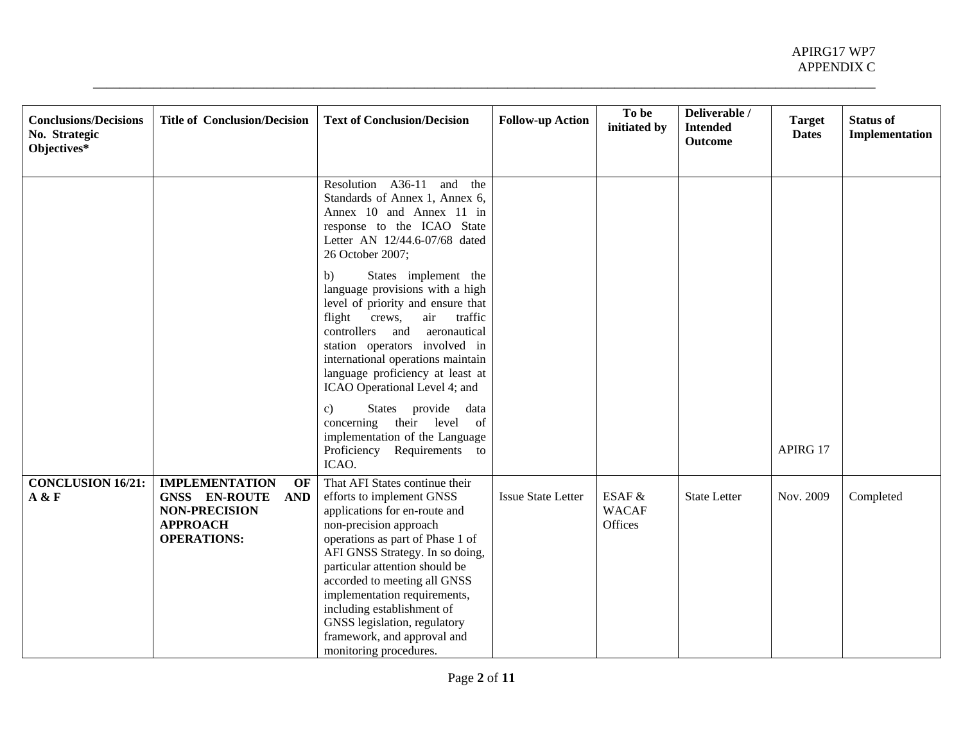| <b>Conclusions/Decisions</b><br>No. Strategic | <b>Title of Conclusion/Decision</b>                                                                               | <b>Text of Conclusion/Decision</b>                                                                                                                                                                                                                                                                                                                                                                                     | <b>Follow-up Action</b>   | To be<br>initiated by             | Deliverable /<br><b>Intended</b><br><b>Outcome</b> | <b>Target</b><br><b>Dates</b> | <b>Status of</b><br>Implementation |
|-----------------------------------------------|-------------------------------------------------------------------------------------------------------------------|------------------------------------------------------------------------------------------------------------------------------------------------------------------------------------------------------------------------------------------------------------------------------------------------------------------------------------------------------------------------------------------------------------------------|---------------------------|-----------------------------------|----------------------------------------------------|-------------------------------|------------------------------------|
| Objectives*                                   |                                                                                                                   |                                                                                                                                                                                                                                                                                                                                                                                                                        |                           |                                   |                                                    |                               |                                    |
|                                               |                                                                                                                   | Resolution A36-11 and the<br>Standards of Annex 1, Annex 6,<br>Annex 10 and Annex 11 in<br>response to the ICAO State<br>Letter AN 12/44.6-07/68 dated<br>26 October 2007;                                                                                                                                                                                                                                             |                           |                                   |                                                    |                               |                                    |
|                                               |                                                                                                                   | States implement the<br>b)<br>language provisions with a high<br>level of priority and ensure that<br>traffic<br>flight<br>crews,<br>air<br>controllers and<br>aeronautical<br>station operators involved in<br>international operations maintain<br>language proficiency at least at<br>ICAO Operational Level 4; and                                                                                                 |                           |                                   |                                                    |                               |                                    |
|                                               |                                                                                                                   | States provide data<br>c)<br>their level of<br>concerning<br>implementation of the Language<br>Proficiency Requirements to<br>ICAO.                                                                                                                                                                                                                                                                                    |                           |                                   |                                                    | APIRG 17                      |                                    |
| <b>CONCLUSION 16/21:</b><br>A & F             | <b>IMPLEMENTATION</b><br>OF<br>GNSS EN-ROUTE AND<br><b>NON-PRECISION</b><br><b>APPROACH</b><br><b>OPERATIONS:</b> | That AFI States continue their<br>efforts to implement GNSS<br>applications for en-route and<br>non-precision approach<br>operations as part of Phase 1 of<br>AFI GNSS Strategy. In so doing,<br>particular attention should be<br>accorded to meeting all GNSS<br>implementation requirements,<br>including establishment of<br>GNSS legislation, regulatory<br>framework, and approval and<br>monitoring procedures. | <b>Issue State Letter</b> | ESAF &<br><b>WACAF</b><br>Offices | <b>State Letter</b>                                | Nov. 2009                     | Completed                          |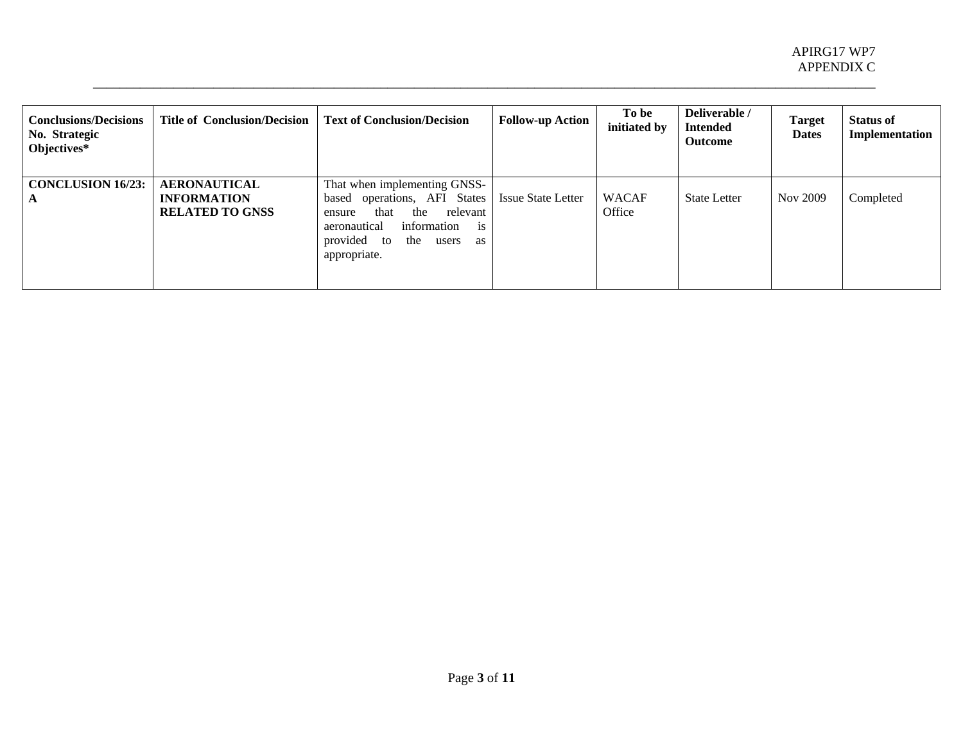| <b>Conclusions/Decisions</b><br>No. Strategic<br>Objectives* | Title of Conclusion/Decision                                        | <b>Text of Conclusion/Decision</b>                                                                                                                                                          | <b>Follow-up Action</b>   | To be<br>initiated by  | Deliverable /<br><b>Intended</b><br><b>Outcome</b> | <b>Target</b><br><b>Dates</b> | <b>Status of</b><br>Implementation |
|--------------------------------------------------------------|---------------------------------------------------------------------|---------------------------------------------------------------------------------------------------------------------------------------------------------------------------------------------|---------------------------|------------------------|----------------------------------------------------|-------------------------------|------------------------------------|
| <b>CONCLUSION 16/23:</b><br>A                                | <b>AERONAUTICAL</b><br><b>INFORMATION</b><br><b>RELATED TO GNSS</b> | That when implementing GNSS-<br>based operations, AFI States<br>the<br>relevant<br>that<br>ensure<br>information<br>aeronautical<br>1S<br>provided to<br>the<br>users<br>as<br>appropriate. | <b>Issue State Letter</b> | <b>WACAF</b><br>Office | <b>State Letter</b>                                | Nov 2009                      | Completed                          |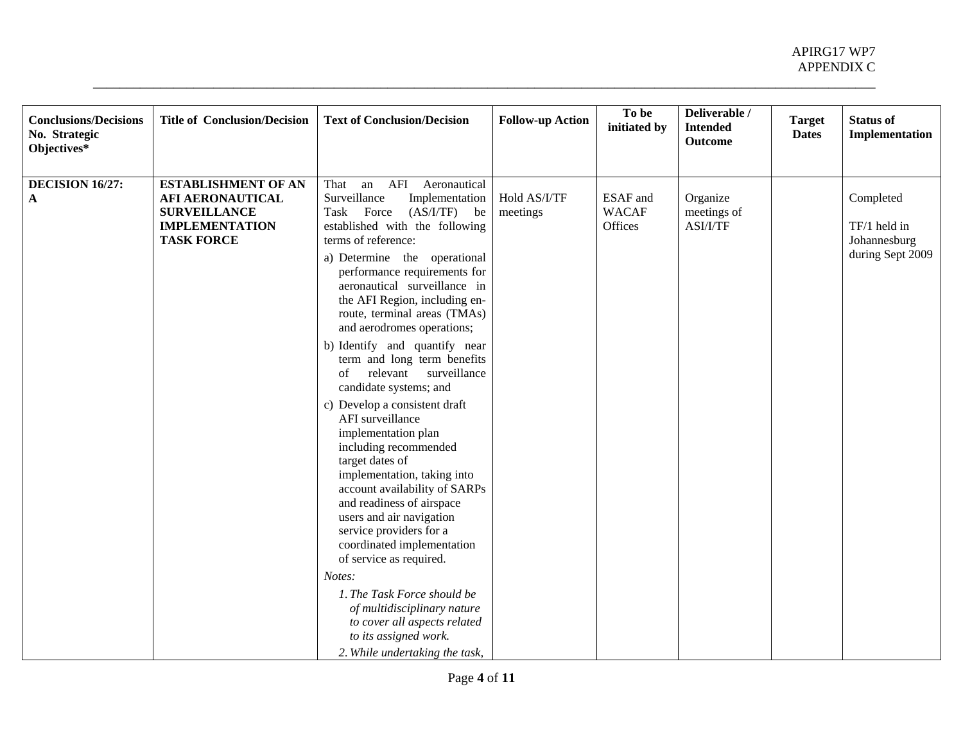| <b>Conclusions/Decisions</b><br>No. Strategic<br>Objectives* | <b>Title of Conclusion/Decision</b>                                                                                        | <b>Text of Conclusion/Decision</b>                                                                                                                                                                                                                                                                                                                                                                                                                                                                                                                                                                                                                                                                                                                                                                                                                                                                                                                                                           | <b>Follow-up Action</b>  | To be<br>initiated by               | Deliverable /<br><b>Intended</b><br><b>Outcome</b> | <b>Target</b><br><b>Dates</b> | <b>Status of</b><br>Implementation                            |
|--------------------------------------------------------------|----------------------------------------------------------------------------------------------------------------------------|----------------------------------------------------------------------------------------------------------------------------------------------------------------------------------------------------------------------------------------------------------------------------------------------------------------------------------------------------------------------------------------------------------------------------------------------------------------------------------------------------------------------------------------------------------------------------------------------------------------------------------------------------------------------------------------------------------------------------------------------------------------------------------------------------------------------------------------------------------------------------------------------------------------------------------------------------------------------------------------------|--------------------------|-------------------------------------|----------------------------------------------------|-------------------------------|---------------------------------------------------------------|
| DECISION 16/27:<br>$\mathbf{A}$                              | <b>ESTABLISHMENT OF AN</b><br><b>AFI AERONAUTICAL</b><br><b>SURVEILLANCE</b><br><b>IMPLEMENTATION</b><br><b>TASK FORCE</b> | an AFI<br>Aeronautical<br>That<br>Surveillance<br>Implementation<br>Task Force<br>$(AS/I/TF)$ be<br>established with the following<br>terms of reference:<br>a) Determine the operational<br>performance requirements for<br>aeronautical surveillance in<br>the AFI Region, including en-<br>route, terminal areas (TMAs)<br>and aerodromes operations;<br>b) Identify and quantify near<br>term and long term benefits<br>surveillance<br>relevant<br>of<br>candidate systems; and<br>c) Develop a consistent draft<br>AFI surveillance<br>implementation plan<br>including recommended<br>target dates of<br>implementation, taking into<br>account availability of SARPs<br>and readiness of airspace<br>users and air navigation<br>service providers for a<br>coordinated implementation<br>of service as required.<br>Notes:<br>1. The Task Force should be<br>of multidisciplinary nature<br>to cover all aspects related<br>to its assigned work.<br>2. While undertaking the task, | Hold AS/I/TF<br>meetings | ESAF and<br><b>WACAF</b><br>Offices | Organize<br>meetings of<br>ASI/I/TF                |                               | Completed<br>TF/1 held in<br>Johannesburg<br>during Sept 2009 |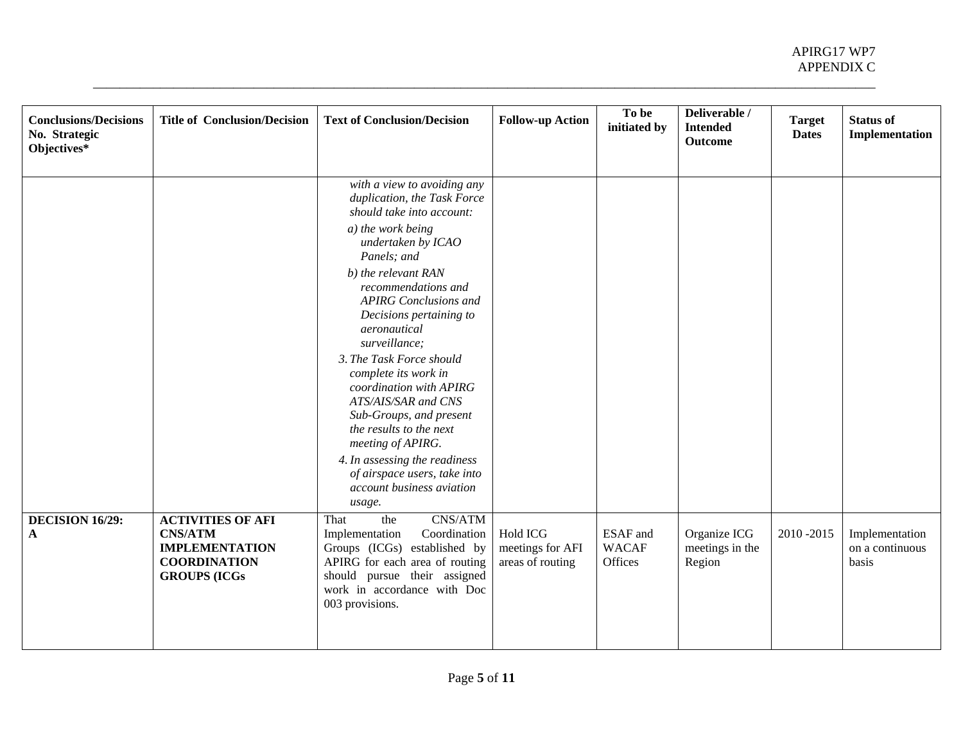| <b>Conclusions/Decisions</b><br>No. Strategic<br>Objectives* | <b>Title of Conclusion/Decision</b>                                                                                | <b>Text of Conclusion/Decision</b>                                                                                                                                                                                                                                                                                                                                                                                                                                                                                                                                                   | <b>Follow-up Action</b>                                 | To be<br>initiated by                      | Deliverable /<br><b>Intended</b><br><b>Outcome</b> | <b>Target</b><br><b>Dates</b> | <b>Status of</b><br>Implementation         |
|--------------------------------------------------------------|--------------------------------------------------------------------------------------------------------------------|--------------------------------------------------------------------------------------------------------------------------------------------------------------------------------------------------------------------------------------------------------------------------------------------------------------------------------------------------------------------------------------------------------------------------------------------------------------------------------------------------------------------------------------------------------------------------------------|---------------------------------------------------------|--------------------------------------------|----------------------------------------------------|-------------------------------|--------------------------------------------|
|                                                              |                                                                                                                    | with a view to avoiding any<br>duplication, the Task Force<br>should take into account:<br>a) the work being<br>undertaken by ICAO<br>Panels; and<br>b) the relevant RAN<br>recommendations and<br><b>APIRG</b> Conclusions and<br>Decisions pertaining to<br>aeronautical<br>surveillance;<br>3. The Task Force should<br>complete its work in<br>coordination with APIRG<br>ATS/AIS/SAR and CNS<br>Sub-Groups, and present<br>the results to the next<br>meeting of APIRG.<br>4. In assessing the readiness<br>of airspace users, take into<br>account business aviation<br>usage. |                                                         |                                            |                                                    |                               |                                            |
| DECISION 16/29:<br>$\mathbf{A}$                              | <b>ACTIVITIES OF AFI</b><br><b>CNS/ATM</b><br><b>IMPLEMENTATION</b><br><b>COORDINATION</b><br><b>GROUPS (ICGs)</b> | CNS/ATM<br>the<br>That<br>Coordination<br>Implementation<br>Groups (ICGs) established by<br>APIRG for each area of routing<br>should pursue their assigned<br>work in accordance with Doc<br>003 provisions.                                                                                                                                                                                                                                                                                                                                                                         | <b>Hold ICG</b><br>meetings for AFI<br>areas of routing | <b>ESAF</b> and<br><b>WACAF</b><br>Offices | Organize ICG<br>meetings in the<br>Region          | 2010-2015                     | Implementation<br>on a continuous<br>basis |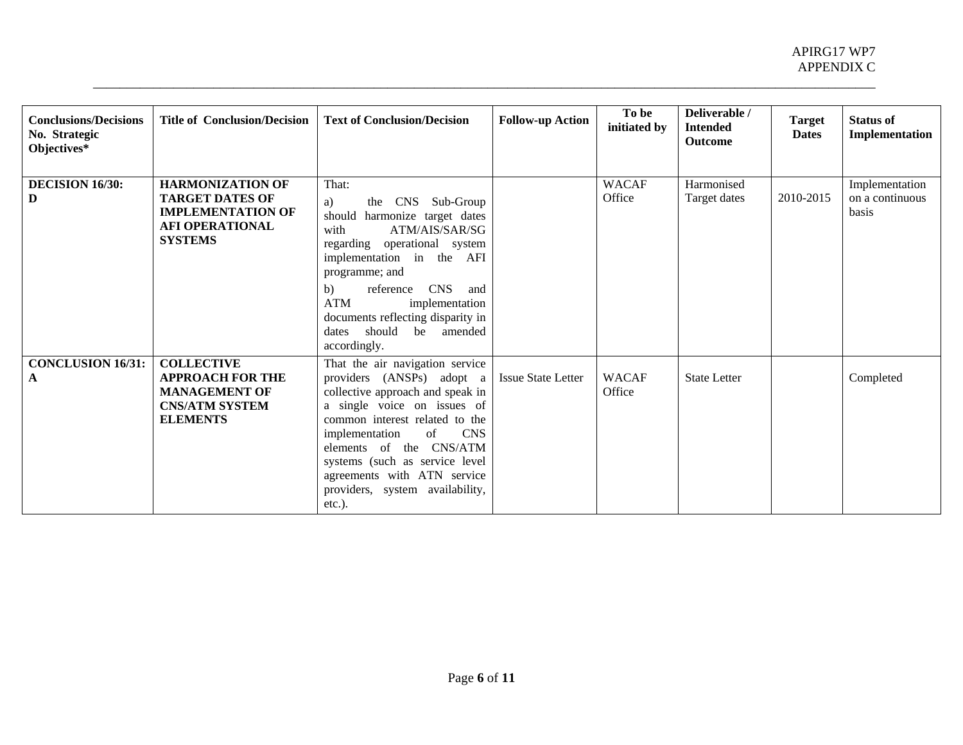| <b>Conclusions/Decisions</b><br>No. Strategic<br>Objectives* | <b>Title of Conclusion/Decision</b>                                                                                       | <b>Text of Conclusion/Decision</b>                                                                                                                                                                                                                                                                                                                  | <b>Follow-up Action</b>   | To be<br>initiated by  | Deliverable /<br><b>Intended</b><br><b>Outcome</b> | <b>Target</b><br><b>Dates</b> | <b>Status of</b><br>Implementation         |
|--------------------------------------------------------------|---------------------------------------------------------------------------------------------------------------------------|-----------------------------------------------------------------------------------------------------------------------------------------------------------------------------------------------------------------------------------------------------------------------------------------------------------------------------------------------------|---------------------------|------------------------|----------------------------------------------------|-------------------------------|--------------------------------------------|
| DECISION 16/30:<br>D                                         | <b>HARMONIZATION OF</b><br><b>TARGET DATES OF</b><br><b>IMPLEMENTATION OF</b><br><b>AFI OPERATIONAL</b><br><b>SYSTEMS</b> | That:<br>CNS Sub-Group<br>the<br>a)<br>harmonize target dates<br>should<br>ATM/AIS/SAR/SG<br>with<br>regarding operational system<br>implementation in the AFI<br>programme; and<br><b>CNS</b><br>reference<br>b)<br>and<br><b>ATM</b><br>implementation<br>documents reflecting disparity in<br>should<br>be amended<br>dates<br>accordingly.      |                           | <b>WACAF</b><br>Office | Harmonised<br>Target dates                         | 2010-2015                     | Implementation<br>on a continuous<br>basis |
| <b>CONCLUSION 16/31:</b><br>A                                | <b>COLLECTIVE</b><br><b>APPROACH FOR THE</b><br><b>MANAGEMENT OF</b><br><b>CNS/ATM SYSTEM</b><br><b>ELEMENTS</b>          | That the air navigation service<br>providers (ANSPs) adopt a<br>collective approach and speak in<br>a single voice on issues of<br>common interest related to the<br>of<br><b>CNS</b><br>implementation<br>elements of the CNS/ATM<br>systems (such as service level<br>agreements with ATN service<br>providers, system availability,<br>$etc.$ ). | <b>Issue State Letter</b> | <b>WACAF</b><br>Office | <b>State Letter</b>                                |                               | Completed                                  |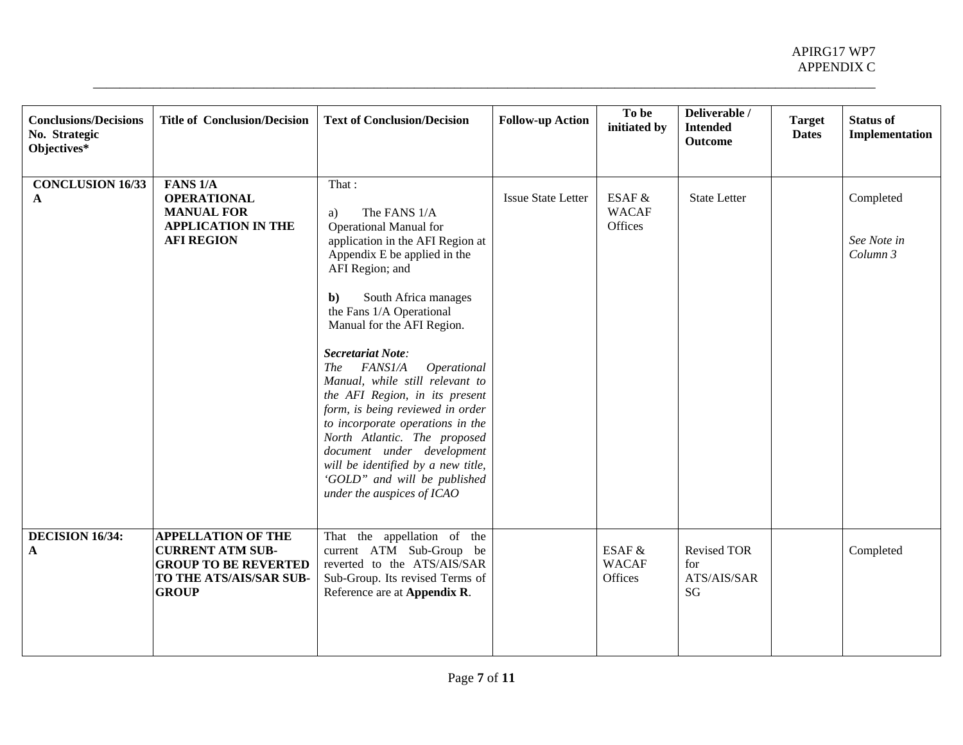| <b>Conclusions/Decisions</b><br>No. Strategic | <b>Title of Conclusion/Decision</b>                                                               | <b>Text of Conclusion/Decision</b>                                                                                         | <b>Follow-up Action</b>   | To be<br>initiated by             | Deliverable /<br><b>Intended</b><br>Outcome    | <b>Target</b><br><b>Dates</b> | <b>Status of</b><br>Implementation |
|-----------------------------------------------|---------------------------------------------------------------------------------------------------|----------------------------------------------------------------------------------------------------------------------------|---------------------------|-----------------------------------|------------------------------------------------|-------------------------------|------------------------------------|
| Objectives*                                   |                                                                                                   |                                                                                                                            |                           |                                   |                                                |                               |                                    |
| <b>CONCLUSION 16/33</b>                       | FANS <sub>1/A</sub>                                                                               | That:                                                                                                                      |                           |                                   |                                                |                               |                                    |
| A                                             | <b>OPERATIONAL</b><br><b>MANUAL FOR</b>                                                           | The FANS 1/A                                                                                                               | <b>Issue State Letter</b> | ESAF &<br><b>WACAF</b>            | <b>State Letter</b>                            |                               | Completed                          |
|                                               | <b>APPLICATION IN THE</b>                                                                         | a)<br><b>Operational Manual for</b>                                                                                        |                           | Offices                           |                                                |                               |                                    |
|                                               | <b>AFI REGION</b>                                                                                 | application in the AFI Region at<br>Appendix E be applied in the<br>AFI Region; and                                        |                           |                                   |                                                |                               | See Note in<br>Column 3            |
|                                               |                                                                                                   | South Africa manages<br>$\mathbf{b}$<br>the Fans 1/A Operational<br>Manual for the AFI Region.                             |                           |                                   |                                                |                               |                                    |
|                                               |                                                                                                   | Secretariat Note:<br><i>FANS1/A</i><br>Operational<br><b>The</b><br>Manual, while still relevant to                        |                           |                                   |                                                |                               |                                    |
|                                               |                                                                                                   | the AFI Region, in its present<br>form, is being reviewed in order<br>to incorporate operations in the                     |                           |                                   |                                                |                               |                                    |
|                                               |                                                                                                   | North Atlantic. The proposed<br>document under development                                                                 |                           |                                   |                                                |                               |                                    |
|                                               |                                                                                                   | will be identified by a new title,<br>'GOLD" and will be published<br>under the auspices of ICAO                           |                           |                                   |                                                |                               |                                    |
| DECISION 16/34:                               | <b>APPELLATION OF THE</b>                                                                         | That the appellation of the                                                                                                |                           |                                   |                                                |                               |                                    |
| $\mathbf{A}$                                  | <b>CURRENT ATM SUB-</b><br><b>GROUP TO BE REVERTED</b><br>TO THE ATS/AIS/SAR SUB-<br><b>GROUP</b> | current ATM Sub-Group be<br>reverted to the ATS/AIS/SAR<br>Sub-Group. Its revised Terms of<br>Reference are at Appendix R. |                           | ESAF &<br><b>WACAF</b><br>Offices | <b>Revised TOR</b><br>for<br>ATS/AIS/SAR<br>SG |                               | Completed                          |
|                                               |                                                                                                   |                                                                                                                            |                           |                                   |                                                |                               |                                    |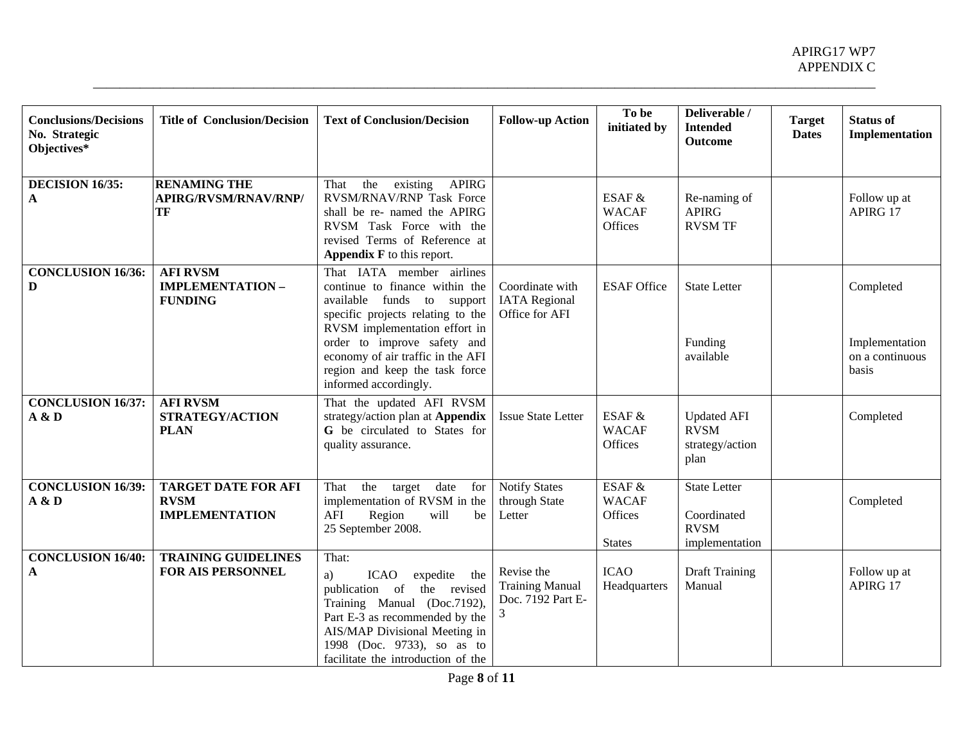| <b>Conclusions/Decisions</b><br>No. Strategic<br>Objectives* | <b>Title of Conclusion/Decision</b>                                | <b>Text of Conclusion/Decision</b>                                                                                                                                                                                                                                                             | <b>Follow-up Action</b>                                        | To be<br>initiated by                              | Deliverable /<br><b>Intended</b><br><b>Outcome</b>                  | <b>Target</b><br><b>Dates</b> | <b>Status of</b><br>Implementation                      |
|--------------------------------------------------------------|--------------------------------------------------------------------|------------------------------------------------------------------------------------------------------------------------------------------------------------------------------------------------------------------------------------------------------------------------------------------------|----------------------------------------------------------------|----------------------------------------------------|---------------------------------------------------------------------|-------------------------------|---------------------------------------------------------|
| <b>DECISION 16/35:</b><br>$\mathbf{A}$                       | <b>RENAMING THE</b><br><b>APIRG/RVSM/RNAV/RNP/</b><br>TF           | the<br>$\overline{exists}$<br>APIRG<br>That<br>RVSM/RNAV/RNP Task Force<br>shall be re- named the APIRG<br>RVSM Task Force with the<br>revised Terms of Reference at<br>Appendix F to this report.                                                                                             |                                                                | ESAF &<br><b>WACAF</b><br>Offices                  | Re-naming of<br><b>APIRG</b><br><b>RVSM TF</b>                      |                               | Follow up at<br>APIRG 17                                |
| <b>CONCLUSION 16/36:</b><br>D                                | <b>AFI RVSM</b><br><b>IMPLEMENTATION-</b><br><b>FUNDING</b>        | That IATA member airlines<br>continue to finance within the<br>available funds to support<br>specific projects relating to the<br>RVSM implementation effort in<br>order to improve safety and<br>economy of air traffic in the AFI<br>region and keep the task force<br>informed accordingly. | Coordinate with<br><b>IATA</b> Regional<br>Office for AFI      | <b>ESAF Office</b>                                 | <b>State Letter</b><br>Funding<br>available                         |                               | Completed<br>Implementation<br>on a continuous<br>basis |
| <b>CONCLUSION 16/37:</b><br>A & D                            | <b>AFI RVSM</b><br>STRATEGY/ACTION<br><b>PLAN</b>                  | That the updated AFI RVSM<br>strategy/action plan at Appendix<br>G be circulated to States for<br>quality assurance.                                                                                                                                                                           | <b>Issue State Letter</b>                                      | ESAF &<br><b>WACAF</b><br>Offices                  | <b>Updated AFI</b><br><b>RVSM</b><br>strategy/action<br>plan        |                               | Completed                                               |
| <b>CONCLUSION 16/39:</b><br>A & D                            | <b>TARGET DATE FOR AFI</b><br><b>RVSM</b><br><b>IMPLEMENTATION</b> | the<br>date<br>target<br>That<br>for<br>implementation of RVSM in the<br>will<br>AFI<br>Region<br>be<br>25 September 2008.                                                                                                                                                                     | <b>Notify States</b><br>through State<br>Letter                | ESAF &<br><b>WACAF</b><br>Offices<br><b>States</b> | <b>State Letter</b><br>Coordinated<br><b>RVSM</b><br>implementation |                               | Completed                                               |
| <b>CONCLUSION 16/40:</b><br>$\mathbf{A}$                     | <b>TRAINING GUIDELINES</b><br><b>FOR AIS PERSONNEL</b>             | That:<br><b>ICAO</b><br>expedite the<br>a)<br>publication of the revised<br>Training Manual (Doc.7192),<br>Part E-3 as recommended by the<br>AIS/MAP Divisional Meeting in<br>1998 (Doc. 9733), so as to<br>facilitate the introduction of the                                                 | Revise the<br><b>Training Manual</b><br>Doc. 7192 Part E-<br>3 | <b>ICAO</b><br>Headquarters                        | <b>Draft Training</b><br>Manual                                     |                               | Follow up at<br>APIRG 17                                |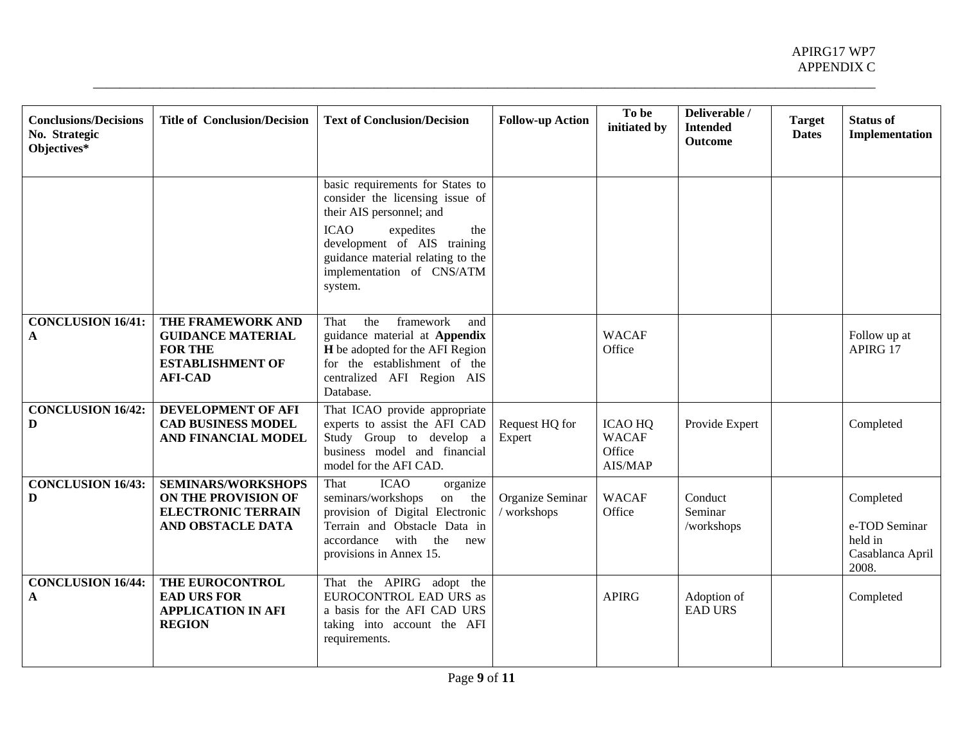| <b>Conclusions/Decisions</b><br>No. Strategic<br>Objectives* | <b>Title of Conclusion/Decision</b>                                                                          | <b>Text of Conclusion/Decision</b>                                                                                                                                                                                                             | <b>Follow-up Action</b>         | To be<br>initiated by                               | Deliverable /<br><b>Intended</b><br><b>Outcome</b> | <b>Target</b><br><b>Dates</b> | <b>Status of</b><br>Implementation                                 |
|--------------------------------------------------------------|--------------------------------------------------------------------------------------------------------------|------------------------------------------------------------------------------------------------------------------------------------------------------------------------------------------------------------------------------------------------|---------------------------------|-----------------------------------------------------|----------------------------------------------------|-------------------------------|--------------------------------------------------------------------|
|                                                              |                                                                                                              | basic requirements for States to<br>consider the licensing issue of<br>their AIS personnel; and<br><b>ICAO</b><br>expedites<br>the<br>development of AIS training<br>guidance material relating to the<br>implementation of CNS/ATM<br>system. |                                 |                                                     |                                                    |                               |                                                                    |
| <b>CONCLUSION 16/41:</b><br>$\mathbf{A}$                     | THE FRAMEWORK AND<br><b>GUIDANCE MATERIAL</b><br><b>FOR THE</b><br><b>ESTABLISHMENT OF</b><br><b>AFI-CAD</b> | framework<br>That<br>the<br>and<br>guidance material at Appendix<br>H be adopted for the AFI Region<br>for the establishment of the<br>centralized AFI Region AIS<br>Database.                                                                 |                                 | <b>WACAF</b><br>Office                              |                                                    |                               | Follow up at<br>APIRG 17                                           |
| <b>CONCLUSION 16/42:</b><br>D                                | DEVELOPMENT OF AFI<br><b>CAD BUSINESS MODEL</b><br>AND FINANCIAL MODEL                                       | That ICAO provide appropriate<br>experts to assist the AFI CAD<br>Study Group to develop a<br>business model and financial<br>model for the AFI CAD.                                                                                           | Request HQ for<br>Expert        | <b>ICAO HQ</b><br><b>WACAF</b><br>Office<br>AIS/MAP | Provide Expert                                     |                               | Completed                                                          |
| <b>CONCLUSION 16/43:</b><br>D                                | <b>SEMINARS/WORKSHOPS</b><br>ON THE PROVISION OF<br><b>ELECTRONIC TERRAIN</b><br>AND OBSTACLE DATA           | <b>ICAO</b><br>That<br>organize<br>seminars/workshops<br>on the<br>provision of Digital Electronic<br>Terrain and Obstacle Data in<br>accordance<br>with<br>the<br>new<br>provisions in Annex 15.                                              | Organize Seminar<br>/ workshops | <b>WACAF</b><br>Office                              | Conduct<br>Seminar<br>/workshops                   |                               | Completed<br>e-TOD Seminar<br>held in<br>Casablanca April<br>2008. |
| <b>CONCLUSION 16/44:</b><br>$\mathbf{A}$                     | THE EUROCONTROL<br><b>EAD URS FOR</b><br><b>APPLICATION IN AFI</b><br><b>REGION</b>                          | That the APIRG adopt the<br>EUROCONTROL EAD URS as<br>a basis for the AFI CAD URS<br>taking into account the AFI<br>requirements.                                                                                                              |                                 | <b>APIRG</b>                                        | Adoption of<br><b>EAD URS</b>                      |                               | Completed                                                          |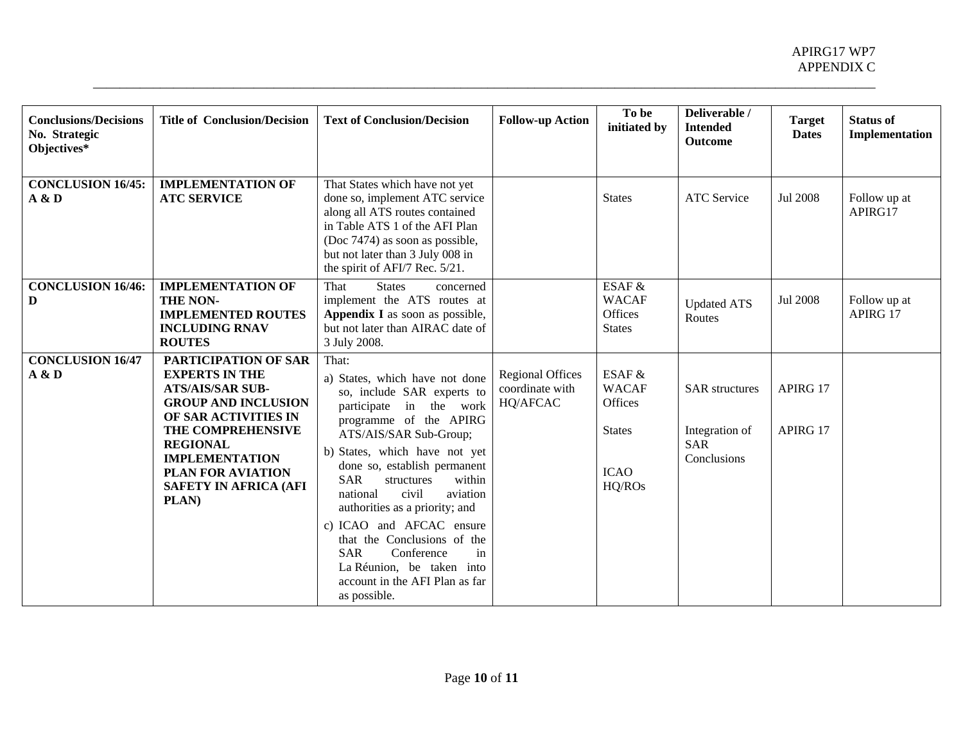| <b>Conclusions/Decisions</b><br>No. Strategic<br>Objectives* | <b>Title of Conclusion/Decision</b>                                                                                                                                                                                                                                  | <b>Text of Conclusion/Decision</b>                                                                                                                                                                                                                                                                                                                                                                                                                                                                         | <b>Follow-up Action</b>                                | To be<br>initiated by                                                       | Deliverable /<br><b>Intended</b><br><b>Outcome</b>                   | <b>Target</b><br><b>Dates</b> | <b>Status of</b><br>Implementation |
|--------------------------------------------------------------|----------------------------------------------------------------------------------------------------------------------------------------------------------------------------------------------------------------------------------------------------------------------|------------------------------------------------------------------------------------------------------------------------------------------------------------------------------------------------------------------------------------------------------------------------------------------------------------------------------------------------------------------------------------------------------------------------------------------------------------------------------------------------------------|--------------------------------------------------------|-----------------------------------------------------------------------------|----------------------------------------------------------------------|-------------------------------|------------------------------------|
| <b>CONCLUSION 16/45:</b><br>A & D                            | <b>IMPLEMENTATION OF</b><br><b>ATC SERVICE</b>                                                                                                                                                                                                                       | That States which have not yet<br>done so, implement ATC service<br>along all ATS routes contained<br>in Table ATS 1 of the AFI Plan<br>(Doc 7474) as soon as possible,<br>but not later than 3 July 008 in<br>the spirit of AFI/7 Rec. 5/21.                                                                                                                                                                                                                                                              |                                                        | <b>States</b>                                                               | <b>ATC</b> Service                                                   | Jul 2008                      | Follow up at<br>APIRG17            |
| <b>CONCLUSION 16/46:</b><br>D                                | <b>IMPLEMENTATION OF</b><br>THE NON-<br><b>IMPLEMENTED ROUTES</b><br><b>INCLUDING RNAV</b><br><b>ROUTES</b>                                                                                                                                                          | <b>States</b><br>That<br>concerned<br>implement the ATS routes at<br>Appendix I as soon as possible,<br>but not later than AIRAC date of<br>3 July 2008.                                                                                                                                                                                                                                                                                                                                                   |                                                        | ESAF $&$<br><b>WACAF</b><br>Offices<br><b>States</b>                        | <b>Updated ATS</b><br>Routes                                         | Jul 2008                      | Follow up at<br>APIRG 17           |
| <b>CONCLUSION 16/47</b><br>A & D                             | <b>PARTICIPATION OF SAR</b><br><b>EXPERTS IN THE</b><br><b>ATS/AIS/SAR SUB-</b><br><b>GROUP AND INCLUSION</b><br>OF SAR ACTIVITIES IN<br>THE COMPREHENSIVE<br><b>REGIONAL</b><br><b>IMPLEMENTATION</b><br>PLAN FOR AVIATION<br><b>SAFETY IN AFRICA (AFI</b><br>PLAN) | That:<br>a) States, which have not done<br>so, include SAR experts to<br>participate in the work<br>programme of the APIRG<br>ATS/AIS/SAR Sub-Group;<br>b) States, which have not yet<br>done so, establish permanent<br>within<br><b>SAR</b><br>structures<br>civil<br>aviation<br>national<br>authorities as a priority; and<br>c) ICAO and AFCAC ensure<br>that the Conclusions of the<br><b>SAR</b><br>Conference<br>in<br>La Réunion, be taken into<br>account in the AFI Plan as far<br>as possible. | <b>Regional Offices</b><br>coordinate with<br>HQ/AFCAC | ESAF &<br><b>WACAF</b><br>Offices<br><b>States</b><br><b>ICAO</b><br>HQ/ROs | <b>SAR</b> structures<br>Integration of<br><b>SAR</b><br>Conclusions | APIRG 17<br>APIRG 17          |                                    |